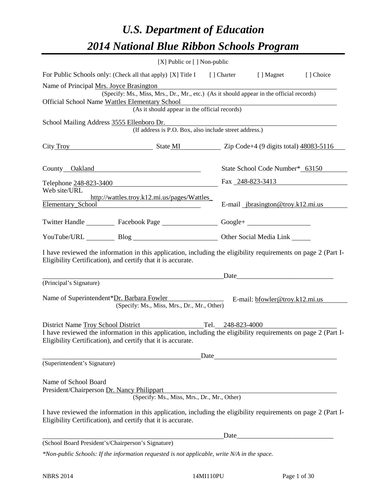# *U.S. Department of Education 2014 National Blue Ribbon Schools Program*

|                                                                                           | [X] Public or [] Non-public                                                                                                                                                                                                            |      |                                                                  |           |
|-------------------------------------------------------------------------------------------|----------------------------------------------------------------------------------------------------------------------------------------------------------------------------------------------------------------------------------------|------|------------------------------------------------------------------|-----------|
|                                                                                           | For Public Schools only: (Check all that apply) [X] Title I [] Charter [] Magnet                                                                                                                                                       |      |                                                                  | [] Choice |
| Name of Principal Mrs. Joyce Brasington<br>Official School Name Wattles Elementary School | (Specify: Ms., Miss, Mrs., Dr., Mr., etc.) (As it should appear in the official records)<br>dementary School<br>(As it should appear in the official records)                                                                          |      |                                                                  |           |
| School Mailing Address 3555 Ellenboro Dr.                                                 | (If address is P.O. Box, also include street address.)                                                                                                                                                                                 |      |                                                                  |           |
|                                                                                           | City Troy State MI Zip Code+4 (9 digits total) 48083-5116                                                                                                                                                                              |      |                                                                  |           |
|                                                                                           | County Oakland                                                                                                                                                                                                                         |      | State School Code Number* 63150                                  |           |
|                                                                                           | Telephone 248-823-3400                                                                                                                                                                                                                 |      | Fax $248 - 823 - 3413$                                           |           |
| Web site/URL                                                                              | http://wattles.troy.k12.mi.us/pages/Wattles_<br>Elementary_School                                                                                                                                                                      |      | E-mail _jbrasington@troy.k12.mi.us                               |           |
|                                                                                           | Twitter Handle ___________ Facebook Page ___________________ Google+ ____________                                                                                                                                                      |      |                                                                  |           |
|                                                                                           | YouTube/URL Blog Blog Discount Cher Social Media Link                                                                                                                                                                                  |      |                                                                  |           |
|                                                                                           | I have reviewed the information in this application, including the eligibility requirements on page 2 (Part I-<br>Eligibility Certification), and certify that it is accurate.                                                         |      |                                                                  |           |
|                                                                                           | <u>Date</u>                                                                                                                                                                                                                            |      |                                                                  |           |
| (Principal's Signature)                                                                   | Name of Superintendent*Dr. Barbara Fowler E-mail: bfowler@troy.k12.mi.us<br>(Specify: Ms., Miss, Mrs., Dr., Mr., Other)                                                                                                                |      |                                                                  |           |
|                                                                                           | District Name Troy School District Tel. 248-823-4000<br>I have reviewed the information in this application, including the eligibility requirements on page 2 (Part I-<br>Eligibility Certification), and certify that it is accurate. |      |                                                                  |           |
| (Superintendent's Signature)                                                              |                                                                                                                                                                                                                                        | Date |                                                                  |           |
| Name of School Board<br>President/Chairperson Dr. Nancy Philippart                        | (Specify: Ms., Miss, Mrs., Dr., Mr., Other)                                                                                                                                                                                            |      |                                                                  |           |
|                                                                                           | I have reviewed the information in this application, including the eligibility requirements on page 2 (Part I-<br>Eligibility Certification), and certify that it is accurate.                                                         |      |                                                                  |           |
|                                                                                           |                                                                                                                                                                                                                                        | Date | <u> 1980 - Jan James James Barnett, fransk politik (d. 1980)</u> |           |
| (School Board President's/Chairperson's Signature)                                        |                                                                                                                                                                                                                                        |      |                                                                  |           |
|                                                                                           | *Non-public Schools: If the information requested is not applicable, write N/A in the space.                                                                                                                                           |      |                                                                  |           |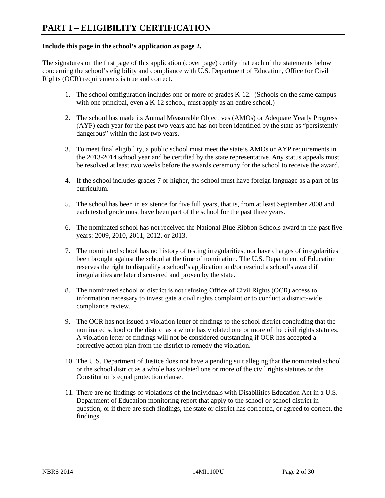# **Include this page in the school's application as page 2.**

The signatures on the first page of this application (cover page) certify that each of the statements below concerning the school's eligibility and compliance with U.S. Department of Education, Office for Civil Rights (OCR) requirements is true and correct.

- 1. The school configuration includes one or more of grades K-12. (Schools on the same campus with one principal, even a K-12 school, must apply as an entire school.)
- 2. The school has made its Annual Measurable Objectives (AMOs) or Adequate Yearly Progress (AYP) each year for the past two years and has not been identified by the state as "persistently dangerous" within the last two years.
- 3. To meet final eligibility, a public school must meet the state's AMOs or AYP requirements in the 2013-2014 school year and be certified by the state representative. Any status appeals must be resolved at least two weeks before the awards ceremony for the school to receive the award.
- 4. If the school includes grades 7 or higher, the school must have foreign language as a part of its curriculum.
- 5. The school has been in existence for five full years, that is, from at least September 2008 and each tested grade must have been part of the school for the past three years.
- 6. The nominated school has not received the National Blue Ribbon Schools award in the past five years: 2009, 2010, 2011, 2012, or 2013.
- 7. The nominated school has no history of testing irregularities, nor have charges of irregularities been brought against the school at the time of nomination. The U.S. Department of Education reserves the right to disqualify a school's application and/or rescind a school's award if irregularities are later discovered and proven by the state.
- 8. The nominated school or district is not refusing Office of Civil Rights (OCR) access to information necessary to investigate a civil rights complaint or to conduct a district-wide compliance review.
- 9. The OCR has not issued a violation letter of findings to the school district concluding that the nominated school or the district as a whole has violated one or more of the civil rights statutes. A violation letter of findings will not be considered outstanding if OCR has accepted a corrective action plan from the district to remedy the violation.
- 10. The U.S. Department of Justice does not have a pending suit alleging that the nominated school or the school district as a whole has violated one or more of the civil rights statutes or the Constitution's equal protection clause.
- 11. There are no findings of violations of the Individuals with Disabilities Education Act in a U.S. Department of Education monitoring report that apply to the school or school district in question; or if there are such findings, the state or district has corrected, or agreed to correct, the findings.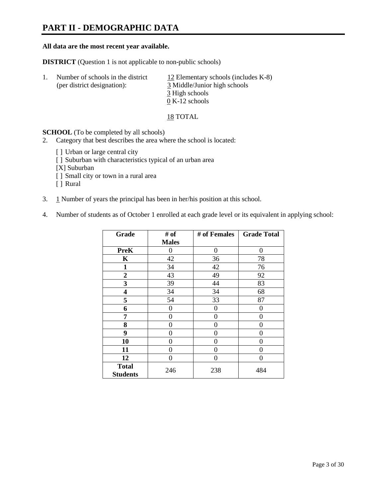# **PART II - DEMOGRAPHIC DATA**

### **All data are the most recent year available.**

**DISTRICT** (Question 1 is not applicable to non-public schools)

| Number of schools in the district<br>(per district designation): | 12 Elementary schools (includes $K-8$ )<br>3 Middle/Junior high schools |
|------------------------------------------------------------------|-------------------------------------------------------------------------|
|                                                                  | 3 High schools                                                          |
|                                                                  | $0 K-12$ schools                                                        |

18 TOTAL

**SCHOOL** (To be completed by all schools)

- 2. Category that best describes the area where the school is located:
	- [] Urban or large central city
	- [ ] Suburban with characteristics typical of an urban area
	- [X] Suburban
	- [ ] Small city or town in a rural area
	- [ ] Rural
- 3. 1 Number of years the principal has been in her/his position at this school.
- 4. Number of students as of October 1 enrolled at each grade level or its equivalent in applying school:

| Grade                           | # of         | # of Females | <b>Grade Total</b> |
|---------------------------------|--------------|--------------|--------------------|
|                                 | <b>Males</b> |              |                    |
| <b>PreK</b>                     | 0            | 0            | $\Omega$           |
| K                               | 42           | 36           | 78                 |
| $\mathbf{1}$                    | 34           | 42           | 76                 |
| $\boldsymbol{2}$                | 43           | 49           | 92                 |
| 3                               | 39           | 44           | 83                 |
| 4                               | 34           | 34           | 68                 |
| 5                               | 54           | 33           | 87                 |
| 6                               | 0            | 0            | 0                  |
| 7                               | 0            | $\theta$     | $\theta$           |
| 8                               | 0            | 0            | 0                  |
| 9                               | 0            | 0            | 0                  |
| 10                              | 0            | 0            | 0                  |
| 11                              | 0            | 0            | 0                  |
| 12                              | 0            | $\theta$     | 0                  |
| <b>Total</b><br><b>Students</b> | 246          | 238          | 484                |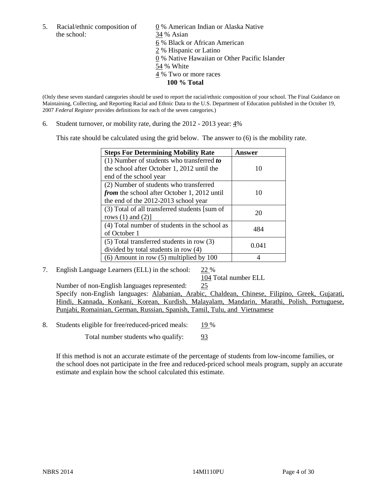the school: 34 % Asian

5. Racial/ethnic composition of  $0\%$  American Indian or Alaska Native 6 % Black or African American 2 % Hispanic or Latino 0 % Native Hawaiian or Other Pacific Islander 54 % White 4 % Two or more races **100 % Total** 

(Only these seven standard categories should be used to report the racial/ethnic composition of your school. The Final Guidance on Maintaining, Collecting, and Reporting Racial and Ethnic Data to the U.S. Department of Education published in the October 19, 2007 *Federal Register* provides definitions for each of the seven categories.)

6. Student turnover, or mobility rate, during the 2012 - 2013 year: 4%

This rate should be calculated using the grid below. The answer to (6) is the mobility rate.

| <b>Steps For Determining Mobility Rate</b>    | Answer |
|-----------------------------------------------|--------|
| (1) Number of students who transferred to     |        |
| the school after October 1, 2012 until the    | 10     |
| end of the school year                        |        |
| (2) Number of students who transferred        |        |
| from the school after October 1, 2012 until   | 10     |
| the end of the 2012-2013 school year          |        |
| (3) Total of all transferred students [sum of | 20     |
| rows $(1)$ and $(2)$ ]                        |        |
| (4) Total number of students in the school as | 484    |
| of October 1                                  |        |
| $(5)$ Total transferred students in row $(3)$ | 0.041  |
| divided by total students in row (4)          |        |
| $(6)$ Amount in row $(5)$ multiplied by 100   |        |

7. English Language Learners (ELL) in the school: 22 %

104 Total number ELL

Number of non-English languages represented: 25 Specify non-English languages: Alabanian, Arabic, Chaldean, Chinese, Filipino, Greek, Gujarati, Hindi, Kannada, Konkani, Korean, Kurdish, Malayalam, Mandarin, Marathi, Polish, Portuguese, Punjabi, Romainian, German, Russian, Spanish, Tamil, Tulu, and Vietnamese

8. Students eligible for free/reduced-priced meals: 19 %

Total number students who qualify: 93

If this method is not an accurate estimate of the percentage of students from low-income families, or the school does not participate in the free and reduced-priced school meals program, supply an accurate estimate and explain how the school calculated this estimate.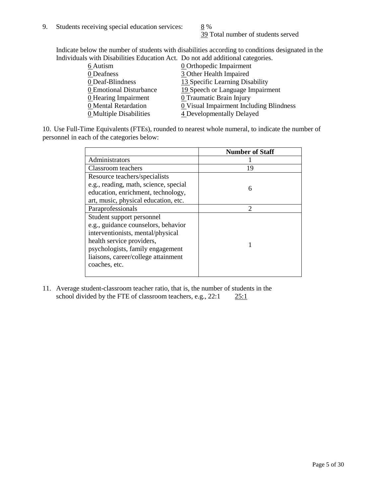39 Total number of students served

Indicate below the number of students with disabilities according to conditions designated in the Individuals with Disabilities Education Act. Do not add additional categories.

| <u>martically trial Disachities Buaealon ried. Do not auu auuritonal eale conest</u> |                                         |
|--------------------------------------------------------------------------------------|-----------------------------------------|
| 6 Autism                                                                             | <b>0</b> Orthopedic Impairment          |
| 0 Deafness                                                                           | 3 Other Health Impaired                 |
| 0 Deaf-Blindness                                                                     | 13 Specific Learning Disability         |
| 0 Emotional Disturbance                                                              | 19 Speech or Language Impairment        |
| 0 Hearing Impairment                                                                 | 0 Traumatic Brain Injury                |
| 0 Mental Retardation                                                                 | 0 Visual Impairment Including Blindness |
| 0 Multiple Disabilities                                                              | 4 Developmentally Delayed               |
|                                                                                      |                                         |

10. Use Full-Time Equivalents (FTEs), rounded to nearest whole numeral, to indicate the number of personnel in each of the categories below:

|                                       | <b>Number of Staff</b> |
|---------------------------------------|------------------------|
| Administrators                        |                        |
| Classroom teachers                    | 19                     |
| Resource teachers/specialists         |                        |
| e.g., reading, math, science, special | 6                      |
| education, enrichment, technology,    |                        |
| art, music, physical education, etc.  |                        |
| Paraprofessionals                     | $\mathfrak{D}$         |
| Student support personnel             |                        |
| e.g., guidance counselors, behavior   |                        |
| interventionists, mental/physical     |                        |
| health service providers,             |                        |
| psychologists, family engagement      |                        |
| liaisons, career/college attainment   |                        |
| coaches, etc.                         |                        |
|                                       |                        |

11. Average student-classroom teacher ratio, that is, the number of students in the school divided by the FTE of classroom teachers, e.g.,  $22:1$   $25:1$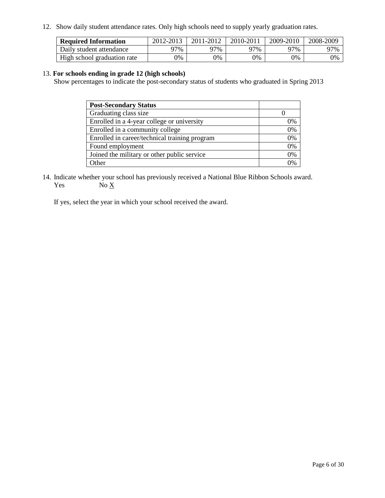12. Show daily student attendance rates. Only high schools need to supply yearly graduation rates.

| <b>Required Information</b> | 2012-2013     | 2011-2012 | 2010-2011 | 2009-2010 | 2008-2009 |
|-----------------------------|---------------|-----------|-----------|-----------|-----------|
| Daily student attendance    | ว7%           | ว7%       | 97%       | 77%       | 97%       |
| High school graduation rate | $\gamma_{\%}$ | 0%        | 0%        | 0%        | 0%        |

# 13. **For schools ending in grade 12 (high schools)**

Show percentages to indicate the post-secondary status of students who graduated in Spring 2013

| <b>Post-Secondary Status</b>                  |    |
|-----------------------------------------------|----|
| Graduating class size                         |    |
| Enrolled in a 4-year college or university    | 0% |
| Enrolled in a community college               | 0% |
| Enrolled in career/technical training program | 0% |
| Found employment                              | 0% |
| Joined the military or other public service   | 0% |
| <b>Other</b>                                  | 2% |

14. Indicate whether your school has previously received a National Blue Ribbon Schools award. Yes  $No \underline{X}$ 

If yes, select the year in which your school received the award.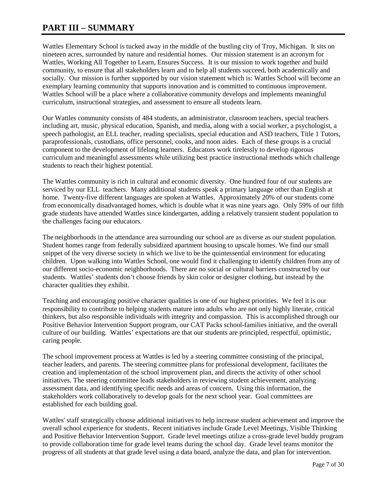# **PART III – SUMMARY**

Wattles Elementary School is tucked away in the middle of the bustling city of Troy, Michigan. It sits on nineteen acres, surrounded by nature and residential homes. Our mission statement is an acronym for Wattles, Working All Together to Learn, Ensures Success. It is our mission to work together and build community, to ensure that all stakeholders learn and to help all students succeed, both academically and socially. Our mission is further supported by our vision statement which is: Wattles School will become an exemplary learning community that supports innovation and is committed to continuous improvement. Wattles School will be a place where a collaborative community develops and implements meaningful curriculum, instructional strategies, and assessment to ensure all students learn.

Our Wattles community consists of 484 students, an administrator, classroom teachers, special teachers including art, music, physical education, Spanish, and media, along with a social worker, a psychologist, a speech pathologist, an ELL teacher, reading specialists, special education and ASD teachers, Title 1 Tutors, paraprofessionals, custodians, office personnel, cooks, and noon aides. Each of these groups is a crucial component to the development of lifelong learners. Educators work tirelessly to develop rigorous curriculum and meaningful assessments while utilizing best practice instructional methods which challenge students to reach their highest potential.

The Wattles community is rich in cultural and economic diversity. One hundred four of our students are serviced by our ELL teachers. Many additional students speak a primary language other than English at home. Twenty-five different languages are spoken at Wattles. Approximately 20% of our students come from economically disadvantaged homes, which is double what it was nine years ago. Only 59% of our fifth grade students have attended Wattles since kindergarten, adding a relatively transient student population to the challenges facing our educators.

The neighborhoods in the attendance area surrounding our school are as diverse as our student population. Student homes range from federally subsidized apartment housing to upscale homes. We find our small snippet of the very diverse society in which we live to be the quintessential environment for educating children. Upon walking into Wattles School, one would find it challenging to identify children from any of our different socio-economic neighborhoods. There are no social or cultural barriers constructed by our students. Wattles' students don't choose friends by skin color or designer clothing, but instead by the character qualities they exhibit.

Teaching and encouraging positive character qualities is one of our highest priorities. We feel it is our responsibility to contribute to helping students mature into adults who are not only highly literate, critical thinkers, but also responsible individuals with integrity and compassion. This is accomplished through our Positive Behavior Intervention Support program, our CAT Packs school-families initiative, and the overall culture of our building. Wattles' expectations are that our students are principled, respectful, optimistic, caring people.

The school improvement process at Wattles is led by a steering committee consisting of the principal, teacher leaders, and parents. The steering committee plans for professional development, facilitates the creation and implementation of the school improvement plan, and directs the activity of other school initiatives. The steering committee leads stakeholders in reviewing student achievement, analyzing assessment data, and identifying specific needs and areas of concern. Using this information, the stakeholders work collaboratively to develop goals for the next school year. Goal committees are established for each building goal.

Wattles' staff strategically choose additional initiatives to help increase student achievement and improve the overall school experience for students. Recent initiatives include Grade Level Meetings, Visible Thinking and Positive Behavior Intervention Support. Grade level meetings utilize a cross-grade level buddy program to provide collaboration time for grade level teams during the school day. Grade level teams monitor the progress of all students at that grade level using a data board, analyze the data, and plan for intervention.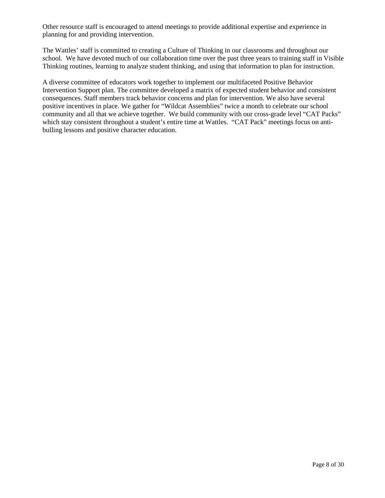Other resource staff is encouraged to attend meetings to provide additional expertise and experience in planning for and providing intervention.

The Wattles' staff is committed to creating a Culture of Thinking in our classrooms and throughout our school. We have devoted much of our collaboration time over the past three years to training staff in Visible Thinking routines, learning to analyze student thinking, and using that information to plan for instruction.

A diverse committee of educators work together to implement our multifaceted Positive Behavior Intervention Support plan. The committee developed a matrix of expected student behavior and consistent consequences. Staff members track behavior concerns and plan for intervention. We also have several positive incentives in place. We gather for "Wildcat Assemblies" twice a month to celebrate our school community and all that we achieve together. We build community with our cross-grade level "CAT Packs" which stay consistent throughout a student's entire time at Wattles. "CAT Pack" meetings focus on antibulling lessons and positive character education.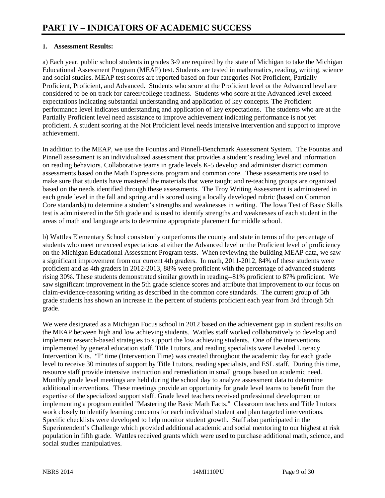# **1. Assessment Results:**

a) Each year, public school students in grades 3-9 are required by the state of Michigan to take the Michigan Educational Assessment Program (MEAP) test. Students are tested in mathematics, reading, writing, science and social studies. MEAP test scores are reported based on four categories-Not Proficient, Partially Proficient, Proficient, and Advanced. Students who score at the Proficient level or the Advanced level are considered to be on track for career/college readiness. Students who score at the Advanced level exceed expectations indicating substantial understanding and application of key concepts. The Proficient performance level indicates understanding and application of key expectations. The students who are at the Partially Proficient level need assistance to improve achievement indicating performance is not yet proficient. A student scoring at the Not Proficient level needs intensive intervention and support to improve achievement.

In addition to the MEAP, we use the Fountas and Pinnell-Benchmark Assessment System. The Fountas and Pinnell assessment is an individualized assessment that provides a student's reading level and information on reading behaviors. Collaborative teams in grade levels K-5 develop and administer district common assessments based on the Math Expressions program and common core. These assessments are used to make sure that students have mastered the materials that were taught and re-teaching groups are organized based on the needs identified through these assessments. The Troy Writing Assessment is administered in each grade level in the fall and spring and is scored using a locally developed rubric (based on Common Core standards) to determine a student's strengths and weaknesses in writing. The Iowa Test of Basic Skills test is administered in the 5th grade and is used to identify strengths and weaknesses of each student in the areas of math and language arts to determine appropriate placement for middle school.

b) Wattles Elementary School consistently outperforms the county and state in terms of the percentage of students who meet or exceed expectations at either the Advanced level or the Proficient level of proficiency on the Michigan Educational Assessment Program tests. When reviewing the building MEAP data, we saw a significant improvement from our current 4th graders. In math, 2011-2012, 84% of these students were proficient and as 4th graders in 2012-2013, 88% were proficient with the percentage of advanced students rising 30%. These students demonstrated similar growth in reading--81% proficient to 87% proficient. We saw significant improvement in the 5th grade science scores and attribute that improvement to our focus on claim-evidence-reasoning writing as described in the common core standards. The current group of 5th grade students has shown an increase in the percent of students proficient each year from 3rd through 5th grade.

We were designated as a Michigan Focus school in 2012 based on the achievement gap in student results on the MEAP between high and low achieving students. Wattles staff worked collaboratively to develop and implement research-based strategies to support the low achieving students. One of the interventions implemented by general education staff, Title I tutors, and reading specialists were Leveled Literacy Intervention Kits. "I" time (Intervention Time) was created throughout the academic day for each grade level to receive 30 minutes of support by Title I tutors, reading specialists, and ESL staff. During this time, resource staff provide intensive instruction and remediation in small groups based on academic need. Monthly grade level meetings are held during the school day to analyze assessment data to determine additional interventions. These meetings provide an opportunity for grade level teams to benefit from the expertise of the specialized support staff. Grade level teachers received professional development on implementing a program entitled "Mastering the Basic Math Facts." Classroom teachers and Title I tutors work closely to identify learning concerns for each individual student and plan targeted interventions. Specific checklists were developed to help monitor student growth. Staff also participated in the Superintendent's Challenge which provided additional academic and social mentoring to our highest at risk population in fifth grade. Wattles received grants which were used to purchase additional math, science, and social studies manipulatives.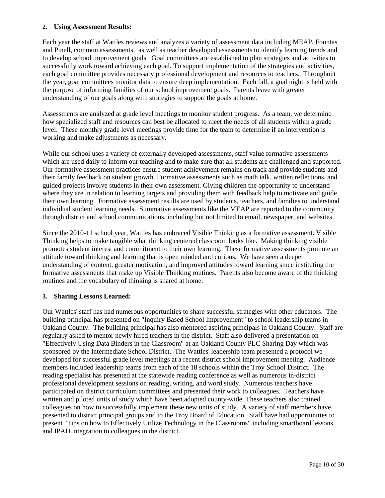## **2. Using Assessment Results:**

Each year the staff at Wattles reviews and analyzes a variety of assessment data including MEAP, Fountas and Pinell, common assessments, as well as teacher developed assessments to identify learning trends and to develop school improvement goals. Goal committees are established to plan strategies and activities to successfully work toward achieving each goal. To support implementation of the strategies and activities, each goal committee provides necessary professional development and resources to teachers. Throughout the year, goal committees monitor data to ensure deep implementation. Each fall, a goal night is held with the purpose of informing families of our school improvement goals. Parents leave with greater understanding of our goals along with strategies to support the goals at home.

Assessments are analyzed at grade level meetings to monitor student progress. As a team, we determine how specialized staff and resources can best be allocated to meet the needs of all students within a grade level. These monthly grade level meetings provide time for the team to determine if an intervention is working and make adjustments as necessary.

While our school uses a variety of externally developed assessments, staff value formative assessments which are used daily to inform our teaching and to make sure that all students are challenged and supported. Our formative assessment practices ensure student achievement remains on track and provide students and their family feedback on student growth. Formative assessments such as math talk, written reflections, and guided projects involve students in their own assessment. Giving children the opportunity to understand where they are in relation to learning targets and providing them with feedback help to motivate and guide their own learning. Formative assessment results are used by students, teachers, and families to understand individual student learning needs. Summative assessments like the MEAP are reported to the community through district and school communications, including but not limited to email, newspaper, and websites.

Since the 2010-11 school year, Wattles has embraced Visible Thinking as a formative assessment. Visible Thinking helps to make tangible what thinking centered classroom looks like. Making thinking visible promotes student interest and commitment to their own learning. These formative assessments promote an attitude toward thinking and learning that is open minded and curious. We have seen a deeper understanding of content, greater motivation, and improved attitudes toward learning since instituting the formative assessments that make up Visible Thinking routines. Parents also become aware of the thinking routines and the vocabulary of thinking is shared at home.

## **3. Sharing Lessons Learned:**

Our Wattles' staff has had numerous opportunities to share successful strategies with other educators. The building principal has presented on "Inquiry Based School Improvement" to school leadership teams in Oakland County. The building principal has also mentored aspiring principals in Oakland County. Staff are regularly asked to mentor newly hired teachers in the district. Staff also delivered a presentation on "Effectively Using Data Binders in the Classroom" at an Oakland County PLC Sharing Day which was sponsored by the Intermediate School District. The Wattles' leadership team presented a protocol we developed for successful grade level meetings at a recent district school improvement meeting. Audience members included leadership teams from each of the 18 schools within the Troy School District. The reading specialist has presented at the statewide reading conference as well as numerous in-district professional development sessions on reading, writing, and word study. Numerous teachers have participated on district curriculum committees and presented their work to colleagues. Teachers have written and piloted units of study which have been adopted county-wide. These teachers also trained colleagues on how to successfully implement these new units of study. A variety of staff members have presented to district principal groups and to the Troy Board of Education. Staff have had opportunities to present "Tips on how to Effectively Utilize Technology in the Classrooms" including smartboard lessons and IPAD integration to colleagues in the district.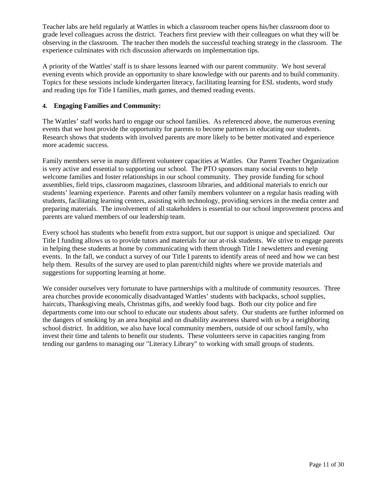Teacher labs are held regularly at Wattles in which a classroom teacher opens his/her classroom door to grade level colleagues across the district. Teachers first preview with their colleagues on what they will be observing in the classroom. The teacher then models the successful teaching strategy in the classroom. The experience culminates with rich discussion afterwards on implementation tips.

A priority of the Wattles' staff is to share lessons learned with our parent community. We host several evening events which provide an opportunity to share knowledge with our parents and to build community. Topics for these sessions include kindergarten literacy, facilitating learning for ESL students, word study and reading tips for Title I families, math games, and themed reading events.

# **4. Engaging Families and Community:**

The Wattles' staff works hard to engage our school families. As referenced above, the numerous evening events that we host provide the opportunity for parents to become partners in educating our students. Research shows that students with involved parents are more likely to be better motivated and experience more academic success.

Family members serve in many different volunteer capacities at Wattles. Our Parent Teacher Organization is very active and essential to supporting our school. The PTO sponsors many social events to help welcome families and foster relationships in our school community. They provide funding for school assemblies, field trips, classroom magazines, classroom libraries, and additional materials to enrich our students' learning experience. Parents and other family members volunteer on a regular basis reading with students, facilitating learning centers, assisting with technology, providing services in the media center and preparing materials. The involvement of all stakeholders is essential to our school improvement process and parents are valued members of our leadership team.

Every school has students who benefit from extra support, but our support is unique and specialized. Our Title I funding allows us to provide tutors and materials for our at-risk students. We strive to engage parents in helping these students at home by communicating with them through Title I newsletters and evening events. In the fall, we conduct a survey of our Title I parents to identify areas of need and how we can best help them. Results of the survey are used to plan parent/child nights where we provide materials and suggestions for supporting learning at home.

We consider ourselves very fortunate to have partnerships with a multitude of community resources. Three area churches provide economically disadvantaged Wattles' students with backpacks, school supplies, haircuts, Thanksgiving meals, Christmas gifts, and weekly food bags. Both our city police and fire departments come into our school to educate our students about safety. Our students are further informed on the dangers of smoking by an area hospital and on disability awareness shared with us by a neighboring school district. In addition, we also have local community members, outside of our school family, who invest their time and talents to benefit our students. These volunteers serve in capacities ranging from tending our gardens to managing our "Literacy Library" to working with small groups of students.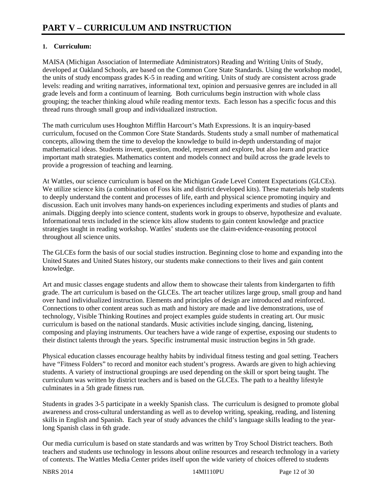# **1. Curriculum:**

MAISA (Michigan Association of Intermediate Administrators) Reading and Writing Units of Study, developed at Oakland Schools, are based on the Common Core State Standards. Using the workshop model, the units of study encompass grades K-5 in reading and writing. Units of study are consistent across grade levels: reading and writing narratives, informational text, opinion and persuasive genres are included in all grade levels and form a continuum of learning. Both curriculums begin instruction with whole class grouping; the teacher thinking aloud while reading mentor texts. Each lesson has a specific focus and this thread runs through small group and individualized instruction.

The math curriculum uses Houghton Mifflin Harcourt's Math Expressions. It is an inquiry-based curriculum, focused on the Common Core State Standards. Students study a small number of mathematical concepts, allowing them the time to develop the knowledge to build in-depth understanding of major mathematical ideas. Students invent, question, model, represent and explore, but also learn and practice important math strategies. Mathematics content and models connect and build across the grade levels to provide a progression of teaching and learning.

At Wattles, our science curriculum is based on the Michigan Grade Level Content Expectations (GLCEs). We utilize science kits (a combination of Foss kits and district developed kits). These materials help students to deeply understand the content and processes of life, earth and physical science promoting inquiry and discussion. Each unit involves many hands-on experiences including experiments and studies of plants and animals. Digging deeply into science content, students work in groups to observe, hypothesize and evaluate. Informational texts included in the science kits allow students to gain content knowledge and practice strategies taught in reading workshop. Wattles' students use the claim-evidence-reasoning protocol throughout all science units.

The GLCEs form the basis of our social studies instruction. Beginning close to home and expanding into the United States and United States history, our students make connections to their lives and gain content knowledge.

Art and music classes engage students and allow them to showcase their talents from kindergarten to fifth grade. The art curriculum is based on the GLCEs. The art teacher utilizes large group, small group and hand over hand individualized instruction. Elements and principles of design are introduced and reinforced. Connections to other content areas such as math and history are made and live demonstrations, use of technology, Visible Thinking Routines and project examples guide students in creating art. Our music curriculum is based on the national standards. Music activities include singing, dancing, listening, composing and playing instruments. Our teachers have a wide range of expertise, exposing our students to their distinct talents through the years. Specific instrumental music instruction begins in 5th grade.

Physical education classes encourage healthy habits by individual fitness testing and goal setting. Teachers have "Fitness Folders" to record and monitor each student's progress. Awards are given to high achieving students. A variety of instructional groupings are used depending on the skill or sport being taught. The curriculum was written by district teachers and is based on the GLCEs. The path to a healthy lifestyle culminates in a 5th grade fitness run.

Students in grades 3-5 participate in a weekly Spanish class. The curriculum is designed to promote global awareness and cross-cultural understanding as well as to develop writing, speaking, reading, and listening skills in English and Spanish. Each year of study advances the child's language skills leading to the yearlong Spanish class in 6th grade.

Our media curriculum is based on state standards and was written by Troy School District teachers. Both teachers and students use technology in lessons about online resources and research technology in a variety of contexts. The Wattles Media Center prides itself upon the wide variety of choices offered to students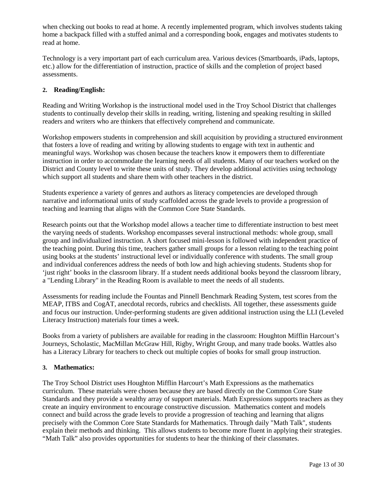when checking out books to read at home. A recently implemented program, which involves students taking home a backpack filled with a stuffed animal and a corresponding book, engages and motivates students to read at home.

Technology is a very important part of each curriculum area. Various devices (Smartboards, iPads, laptops, etc.) allow for the differentiation of instruction, practice of skills and the completion of project based assessments.

# **2. Reading/English:**

Reading and Writing Workshop is the instructional model used in the Troy School District that challenges students to continually develop their skills in reading, writing, listening and speaking resulting in skilled readers and writers who are thinkers that effectively comprehend and communicate.

Workshop empowers students in comprehension and skill acquisition by providing a structured environment that fosters a love of reading and writing by allowing students to engage with text in authentic and meaningful ways. Workshop was chosen because the teachers know it empowers them to differentiate instruction in order to accommodate the learning needs of all students. Many of our teachers worked on the District and County level to write these units of study. They develop additional activities using technology which support all students and share them with other teachers in the district.

Students experience a variety of genres and authors as literacy competencies are developed through narrative and informational units of study scaffolded across the grade levels to provide a progression of teaching and learning that aligns with the Common Core State Standards.

Research points out that the Workshop model allows a teacher time to differentiate instruction to best meet the varying needs of students. Workshop encompasses several instructional methods: whole group, small group and individualized instruction. A short focused mini-lesson is followed with independent practice of the teaching point. During this time, teachers gather small groups for a lesson relating to the teaching point using books at the students' instructional level or individually conference with students. The small group and individual conferences address the needs of both low and high achieving students. Students shop for 'just right' books in the classroom library. If a student needs additional books beyond the classroom library, a "Lending Library" in the Reading Room is available to meet the needs of all students.

Assessments for reading include the Fountas and Pinnell Benchmark Reading System, test scores from the MEAP, ITBS and CogAT, anecdotal records, rubrics and checklists. All together, these assessments guide and focus our instruction. Under-performing students are given additional instruction using the LLI (Leveled Literacy Instruction) materials four times a week.

Books from a variety of publishers are available for reading in the classroom: Houghton Mifflin Harcourt's Journeys, Scholastic, MacMillan McGraw Hill, Rigby, Wright Group, and many trade books. Wattles also has a Literacy Library for teachers to check out multiple copies of books for small group instruction.

## **3. Mathematics:**

The Troy School District uses Houghton Mifflin Harcourt's Math Expressions as the mathematics curriculum. These materials were chosen because they are based directly on the Common Core State Standards and they provide a wealthy array of support materials. Math Expressions supports teachers as they create an inquiry environment to encourage constructive discussion. Mathematics content and models connect and build across the grade levels to provide a progression of teaching and learning that aligns precisely with the Common Core State Standards for Mathematics. Through daily "Math Talk", students explain their methods and thinking. This allows students to become more fluent in applying their strategies. "Math Talk" also provides opportunities for students to hear the thinking of their classmates.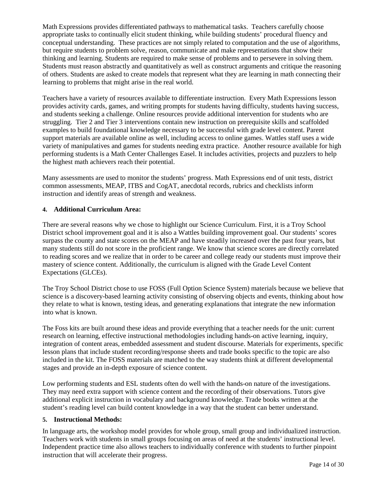Math Expressions provides differentiated pathways to mathematical tasks. Teachers carefully choose appropriate tasks to continually elicit student thinking, while building students' procedural fluency and conceptual understanding. These practices are not simply related to computation and the use of algorithms, but require students to problem solve, reason, communicate and make representations that show their thinking and learning. Students are required to make sense of problems and to persevere in solving them. Students must reason abstractly and quantitatively as well as construct arguments and critique the reasoning of others. Students are asked to create models that represent what they are learning in math connecting their learning to problems that might arise in the real world.

Teachers have a variety of resources available to differentiate instruction. Every Math Expressions lesson provides activity cards, games, and writing prompts for students having difficulty, students having success, and students seeking a challenge. Online resources provide additional intervention for students who are struggling. Tier 2 and Tier 3 interventions contain new instruction on prerequisite skills and scaffolded examples to build foundational knowledge necessary to be successful with grade level content. Parent support materials are available online as well, including access to online games. Wattles staff uses a wide variety of manipulatives and games for students needing extra practice. Another resource available for high performing students is a Math Center Challenges Easel. It includes activities, projects and puzzlers to help the highest math achievers reach their potential.

Many assessments are used to monitor the students' progress. Math Expressions end of unit tests, district common assessments, MEAP, ITBS and CogAT, anecdotal records, rubrics and checklists inform instruction and identify areas of strength and weakness.

# **4. Additional Curriculum Area:**

There are several reasons why we chose to highlight our Science Curriculum. First, it is a Troy School District school improvement goal and it is also a Wattles building improvement goal. Our students' scores surpass the county and state scores on the MEAP and have steadily increased over the past four years, but many students still do not score in the proficient range. We know that science scores are directly correlated to reading scores and we realize that in order to be career and college ready our students must improve their mastery of science content. Additionally, the curriculum is aligned with the Grade Level Content Expectations (GLCEs).

The Troy School District chose to use FOSS (Full Option Science System) materials because we believe that science is a discovery-based learning activity consisting of observing objects and events, thinking about how they relate to what is known, testing ideas, and generating explanations that integrate the new information into what is known.

The Foss kits are built around these ideas and provide everything that a teacher needs for the unit: current research on learning, effective instructional methodologies including hands-on active learning, inquiry, integration of content areas, embedded assessment and student discourse. Materials for experiments, specific lesson plans that include student recording/response sheets and trade books specific to the topic are also included in the kit. The FOSS materials are matched to the way students think at different developmental stages and provide an in-depth exposure of science content.

Low performing students and ESL students often do well with the hands-on nature of the investigations. They may need extra support with science content and the recording of their observations. Tutors give additional explicit instruction in vocabulary and background knowledge. Trade books written at the student's reading level can build content knowledge in a way that the student can better understand.

## **5. Instructional Methods:**

In language arts, the workshop model provides for whole group, small group and individualized instruction. Teachers work with students in small groups focusing on areas of need at the students' instructional level. Independent practice time also allows teachers to individually conference with students to further pinpoint instruction that will accelerate their progress.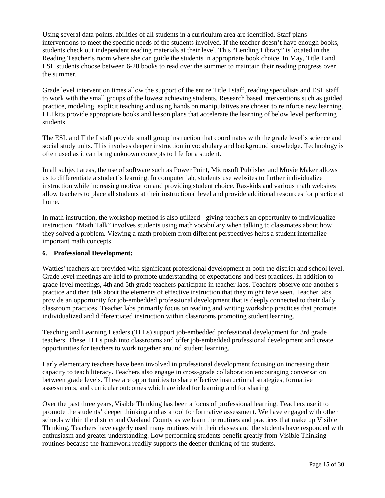Using several data points, abilities of all students in a curriculum area are identified. Staff plans interventions to meet the specific needs of the students involved. If the teacher doesn't have enough books, students check out independent reading materials at their level. This "Lending Library" is located in the Reading Teacher's room where she can guide the students in appropriate book choice. In May, Title I and ESL students choose between 6-20 books to read over the summer to maintain their reading progress over the summer.

Grade level intervention times allow the support of the entire Title I staff, reading specialists and ESL staff to work with the small groups of the lowest achieving students. Research based interventions such as guided practice, modeling, explicit teaching and using hands on manipulatives are chosen to reinforce new learning. LLI kits provide appropriate books and lesson plans that accelerate the learning of below level performing students.

The ESL and Title I staff provide small group instruction that coordinates with the grade level's science and social study units. This involves deeper instruction in vocabulary and background knowledge. Technology is often used as it can bring unknown concepts to life for a student.

In all subject areas, the use of software such as Power Point, Microsoft Publisher and Movie Maker allows us to differentiate a student's learning. In computer lab, students use websites to further individualize instruction while increasing motivation and providing student choice. Raz-kids and various math websites allow teachers to place all students at their instructional level and provide additional resources for practice at home.

In math instruction, the workshop method is also utilized - giving teachers an opportunity to individualize instruction. "Math Talk" involves students using math vocabulary when talking to classmates about how they solved a problem. Viewing a math problem from different perspectives helps a student internalize important math concepts.

## **6. Professional Development:**

Wattles' teachers are provided with significant professional development at both the district and school level. Grade level meetings are held to promote understanding of expectations and best practices. In addition to grade level meetings, 4th and 5th grade teachers participate in teacher labs. Teachers observe one another's practice and then talk about the elements of effective instruction that they might have seen. Teacher labs provide an opportunity for job-embedded professional development that is deeply connected to their daily classroom practices. Teacher labs primarily focus on reading and writing workshop practices that promote individualized and differentiated instruction within classrooms promoting student learning.

Teaching and Learning Leaders (TLLs) support job-embedded professional development for 3rd grade teachers. These TLLs push into classrooms and offer job-embedded professional development and create opportunities for teachers to work together around student learning.

Early elementary teachers have been involved in professional development focusing on increasing their capacity to teach literacy. Teachers also engage in cross-grade collaboration encouraging conversation between grade levels. These are opportunities to share effective instructional strategies, formative assessments, and curricular outcomes which are ideal for learning and for sharing.

Over the past three years, Visible Thinking has been a focus of professional learning. Teachers use it to promote the students' deeper thinking and as a tool for formative assessment. We have engaged with other schools within the district and Oakland County as we learn the routines and practices that make up Visible Thinking. Teachers have eagerly used many routines with their classes and the students have responded with enthusiasm and greater understanding. Low performing students benefit greatly from Visible Thinking routines because the framework readily supports the deeper thinking of the students.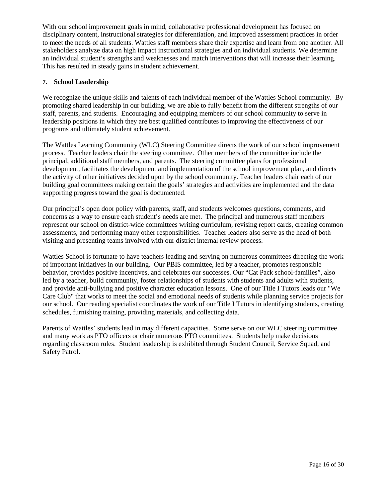With our school improvement goals in mind, collaborative professional development has focused on disciplinary content, instructional strategies for differentiation, and improved assessment practices in order to meet the needs of all students. Wattles staff members share their expertise and learn from one another. All stakeholders analyze data on high impact instructional strategies and on individual students. We determine an individual student's strengths and weaknesses and match interventions that will increase their learning. This has resulted in steady gains in student achievement.

# **7. School Leadership**

We recognize the unique skills and talents of each individual member of the Wattles School community. By promoting shared leadership in our building, we are able to fully benefit from the different strengths of our staff, parents, and students. Encouraging and equipping members of our school community to serve in leadership positions in which they are best qualified contributes to improving the effectiveness of our programs and ultimately student achievement.

The Wattles Learning Community (WLC) Steering Committee directs the work of our school improvement process. Teacher leaders chair the steering committee. Other members of the committee include the principal, additional staff members, and parents. The steering committee plans for professional development, facilitates the development and implementation of the school improvement plan, and directs the activity of other initiatives decided upon by the school community. Teacher leaders chair each of our building goal committees making certain the goals' strategies and activities are implemented and the data supporting progress toward the goal is documented.

Our principal's open door policy with parents, staff, and students welcomes questions, comments, and concerns as a way to ensure each student's needs are met. The principal and numerous staff members represent our school on district-wide committees writing curriculum, revising report cards, creating common assessments, and performing many other responsibilities. Teacher leaders also serve as the head of both visiting and presenting teams involved with our district internal review process.

Wattles School is fortunate to have teachers leading and serving on numerous committees directing the work of important initiatives in our building. Our PBIS committee, led by a teacher, promotes responsible behavior, provides positive incentives, and celebrates our successes. Our "Cat Pack school-families", also led by a teacher, build community, foster relationships of students with students and adults with students, and provide anti-bullying and positive character education lessons. One of our Title I Tutors leads our "We Care Club" that works to meet the social and emotional needs of students while planning service projects for our school. Our reading specialist coordinates the work of our Title I Tutors in identifying students, creating schedules, furnishing training, providing materials, and collecting data.

Parents of Wattles' students lead in may different capacities. Some serve on our WLC steering committee and many work as PTO officers or chair numerous PTO committees. Students help make decisions regarding classroom rules. Student leadership is exhibited through Student Council, Service Squad, and Safety Patrol.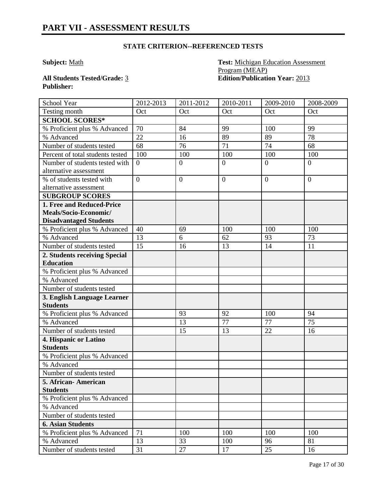**Subject:** Math **Test:** Michigan Education Assessment Program (MEAP) **All Students Tested/Grade:** 3 **Edition/Publication Year:** 2013

| School Year                                    | 2012-2013      | 2011-2012      | 2010-2011      | 2009-2010      | 2008-2009       |
|------------------------------------------------|----------------|----------------|----------------|----------------|-----------------|
| Testing month                                  | Oct            | Oct            | Oct            | Oct            | Oct             |
| <b>SCHOOL SCORES*</b>                          |                |                |                |                |                 |
| % Proficient plus % Advanced                   | 70             | 84             | 99             | 100            | 99              |
| % Advanced                                     | 22             | 16             | 89             | 89             | $\overline{78}$ |
| Number of students tested                      | 68             | 76             | 71             | 74             | 68              |
| Percent of total students tested               | 100            | 100            | 100            | 100            | 100             |
| Number of students tested with                 | $\overline{0}$ | $\overline{0}$ | $\overline{0}$ | $\overline{0}$ | $\overline{0}$  |
| alternative assessment                         |                |                |                |                |                 |
| % of students tested with                      | $\overline{0}$ | $\overline{0}$ | $\overline{0}$ | $\overline{0}$ | $\overline{0}$  |
| alternative assessment                         |                |                |                |                |                 |
| <b>SUBGROUP SCORES</b>                         |                |                |                |                |                 |
| 1. Free and Reduced-Price                      |                |                |                |                |                 |
| Meals/Socio-Economic/                          |                |                |                |                |                 |
| <b>Disadvantaged Students</b>                  |                |                |                |                |                 |
| % Proficient plus % Advanced                   | 40             | 69             | 100            | 100            | 100             |
| % Advanced                                     | 13             | 6              | 62             | 93             | 73              |
| Number of students tested                      | 15             | 16             | 13             | 14             | 11              |
| 2. Students receiving Special                  |                |                |                |                |                 |
| <b>Education</b>                               |                |                |                |                |                 |
| % Proficient plus % Advanced                   |                |                |                |                |                 |
| % Advanced                                     |                |                |                |                |                 |
| Number of students tested                      |                |                |                |                |                 |
| 3. English Language Learner<br><b>Students</b> |                |                |                |                |                 |
| % Proficient plus % Advanced                   |                | 93             | 92             | 100            | 94              |
| % Advanced                                     |                | 13             | 77             | 77             | 75              |
| Number of students tested                      |                | 15             | 13             | 22             | 16              |
| 4. Hispanic or Latino                          |                |                |                |                |                 |
| <b>Students</b>                                |                |                |                |                |                 |
| % Proficient plus % Advanced                   |                |                |                |                |                 |
| % Advanced                                     |                |                |                |                |                 |
| Number of students tested                      |                |                |                |                |                 |
| 5. African- American                           |                |                |                |                |                 |
| <b>Students</b>                                |                |                |                |                |                 |
| % Proficient plus % Advanced                   |                |                |                |                |                 |
| % Advanced                                     |                |                |                |                |                 |
| Number of students tested                      |                |                |                |                |                 |
| <b>6. Asian Students</b>                       |                |                |                |                |                 |
| % Proficient plus % Advanced                   | 71             | 100            | 100            | 100            | 100             |
| % Advanced                                     | 13             | 33             | 100            | 96             | 81              |
| Number of students tested                      | 31             | 27             | 17             | 25             | 16              |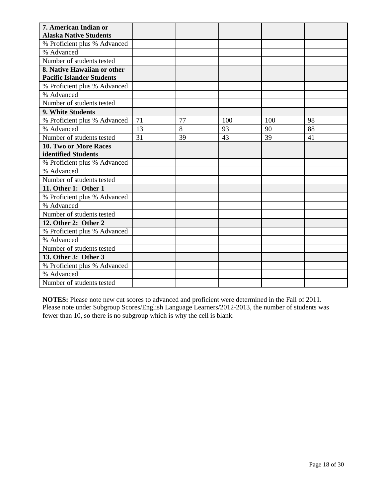| 7. American Indian or            |    |    |     |     |    |
|----------------------------------|----|----|-----|-----|----|
| <b>Alaska Native Students</b>    |    |    |     |     |    |
| % Proficient plus % Advanced     |    |    |     |     |    |
| % Advanced                       |    |    |     |     |    |
| Number of students tested        |    |    |     |     |    |
| 8. Native Hawaiian or other      |    |    |     |     |    |
| <b>Pacific Islander Students</b> |    |    |     |     |    |
| % Proficient plus % Advanced     |    |    |     |     |    |
| % Advanced                       |    |    |     |     |    |
| Number of students tested        |    |    |     |     |    |
| 9. White Students                |    |    |     |     |    |
| % Proficient plus % Advanced     | 71 | 77 | 100 | 100 | 98 |
| % Advanced                       | 13 | 8  | 93  | 90  | 88 |
| Number of students tested        | 31 | 39 | 43  | 39  | 41 |
| 10. Two or More Races            |    |    |     |     |    |
| identified Students              |    |    |     |     |    |
| % Proficient plus % Advanced     |    |    |     |     |    |
| % Advanced                       |    |    |     |     |    |
| Number of students tested        |    |    |     |     |    |
| 11. Other 1: Other 1             |    |    |     |     |    |
| % Proficient plus % Advanced     |    |    |     |     |    |
| % Advanced                       |    |    |     |     |    |
| Number of students tested        |    |    |     |     |    |
| 12. Other 2: Other 2             |    |    |     |     |    |
| % Proficient plus % Advanced     |    |    |     |     |    |
| % Advanced                       |    |    |     |     |    |
| Number of students tested        |    |    |     |     |    |
| 13. Other 3: Other 3             |    |    |     |     |    |
| % Proficient plus % Advanced     |    |    |     |     |    |
| % Advanced                       |    |    |     |     |    |
| Number of students tested        |    |    |     |     |    |

**NOTES:** Please note new cut scores to advanced and proficient were determined in the Fall of 2011. Please note under Subgroup Scores/English Language Learners/2012-2013, the number of students was fewer than 10, so there is no subgroup which is why the cell is blank.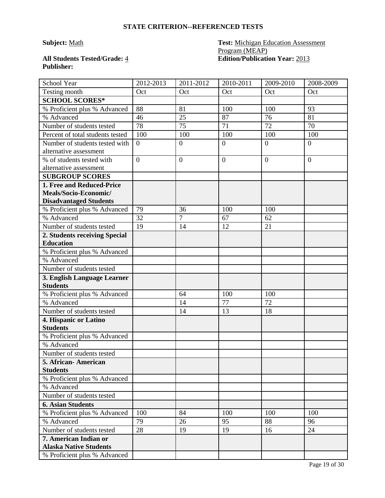# **Publisher:**

# **Subject:** Math **Test:** Michigan Education Assessment Program (MEAP) **All Students Tested/Grade:** 4 **Edition/Publication Year:** 2013

| School Year                                                                         | 2012-2013      | 2011-2012        | 2010-2011    | 2009-2010        | 2008-2009        |
|-------------------------------------------------------------------------------------|----------------|------------------|--------------|------------------|------------------|
| Testing month                                                                       | Oct            | Oct              | Oct          | Oct              | Oct              |
| <b>SCHOOL SCORES*</b>                                                               |                |                  |              |                  |                  |
| % Proficient plus % Advanced                                                        | 88             | 81               | 100          | 100              | 93               |
| % Advanced                                                                          | 46             | 25               | 87           | 76               | 81               |
| Number of students tested                                                           | 78             | 75               | 71           | 72               | 70               |
| Percent of total students tested                                                    | 100            | 100              | 100          | 100              | 100              |
| Number of students tested with<br>alternative assessment                            | $\overline{0}$ | $\boldsymbol{0}$ | $\mathbf{0}$ | $\boldsymbol{0}$ | $\boldsymbol{0}$ |
| % of students tested with<br>alternative assessment                                 | $\overline{0}$ | $\overline{0}$   | $\mathbf{0}$ | $\overline{0}$   | $\overline{0}$   |
| <b>SUBGROUP SCORES</b>                                                              |                |                  |              |                  |                  |
| 1. Free and Reduced-Price<br>Meals/Socio-Economic/<br><b>Disadvantaged Students</b> |                |                  |              |                  |                  |
| % Proficient plus % Advanced                                                        | 79             | 36               | 100          | 100              |                  |
| % Advanced                                                                          | 32             | $\overline{7}$   | 67           | 62               |                  |
| Number of students tested                                                           | 19             | 14               | 12           | 21               |                  |
| 2. Students receiving Special                                                       |                |                  |              |                  |                  |
| <b>Education</b>                                                                    |                |                  |              |                  |                  |
| % Proficient plus % Advanced                                                        |                |                  |              |                  |                  |
| % Advanced                                                                          |                |                  |              |                  |                  |
| Number of students tested                                                           |                |                  |              |                  |                  |
| 3. English Language Learner<br><b>Students</b>                                      |                |                  |              |                  |                  |
| % Proficient plus % Advanced                                                        |                | 64               | 100          | 100              |                  |
| % Advanced                                                                          |                | 14               | 77           | 72               |                  |
| Number of students tested                                                           |                | 14               | 13           | 18               |                  |
| 4. Hispanic or Latino<br><b>Students</b>                                            |                |                  |              |                  |                  |
| % Proficient plus % Advanced                                                        |                |                  |              |                  |                  |
| % Advanced                                                                          |                |                  |              |                  |                  |
| Number of students tested                                                           |                |                  |              |                  |                  |
| 5. African-American                                                                 |                |                  |              |                  |                  |
| <b>Students</b>                                                                     |                |                  |              |                  |                  |
| % Proficient plus % Advanced                                                        |                |                  |              |                  |                  |
| % Advanced                                                                          |                |                  |              |                  |                  |
| Number of students tested                                                           |                |                  |              |                  |                  |
| <b>6. Asian Students</b>                                                            |                |                  |              |                  |                  |
| % Proficient plus % Advanced                                                        | 100            | 84               | 100          | 100              | 100              |
| % Advanced                                                                          | 79             | 26               | 95           | 88               | 96               |
| Number of students tested                                                           | 28             | 19               | 19           | 16               | 24               |
| 7. American Indian or<br><b>Alaska Native Students</b>                              |                |                  |              |                  |                  |
| % Proficient plus % Advanced                                                        |                |                  |              |                  |                  |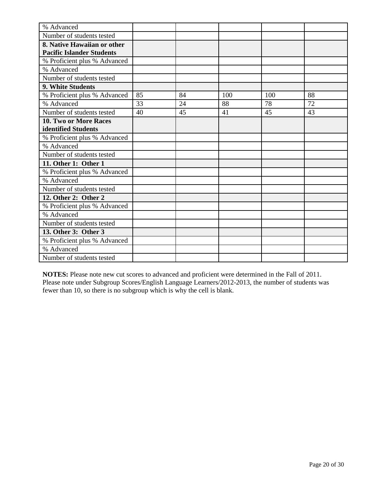| % Advanced                       |    |    |     |     |    |
|----------------------------------|----|----|-----|-----|----|
| Number of students tested        |    |    |     |     |    |
| 8. Native Hawaiian or other      |    |    |     |     |    |
| <b>Pacific Islander Students</b> |    |    |     |     |    |
| % Proficient plus % Advanced     |    |    |     |     |    |
| % Advanced                       |    |    |     |     |    |
| Number of students tested        |    |    |     |     |    |
| 9. White Students                |    |    |     |     |    |
| % Proficient plus % Advanced     | 85 | 84 | 100 | 100 | 88 |
| % Advanced                       | 33 | 24 | 88  | 78  | 72 |
| Number of students tested        | 40 | 45 | 41  | 45  | 43 |
| 10. Two or More Races            |    |    |     |     |    |
| identified Students              |    |    |     |     |    |
| % Proficient plus % Advanced     |    |    |     |     |    |
| % Advanced                       |    |    |     |     |    |
| Number of students tested        |    |    |     |     |    |
| 11. Other 1: Other 1             |    |    |     |     |    |
| % Proficient plus % Advanced     |    |    |     |     |    |
| % Advanced                       |    |    |     |     |    |
| Number of students tested        |    |    |     |     |    |
| 12. Other 2: Other 2             |    |    |     |     |    |
| % Proficient plus % Advanced     |    |    |     |     |    |
| % Advanced                       |    |    |     |     |    |
| Number of students tested        |    |    |     |     |    |
| 13. Other 3: Other 3             |    |    |     |     |    |
| % Proficient plus % Advanced     |    |    |     |     |    |
| % Advanced                       |    |    |     |     |    |
| Number of students tested        |    |    |     |     |    |

**NOTES:** Please note new cut scores to advanced and proficient were determined in the Fall of 2011. Please note under Subgroup Scores/English Language Learners/2012-2013, the number of students was fewer than 10, so there is no subgroup which is why the cell is blank.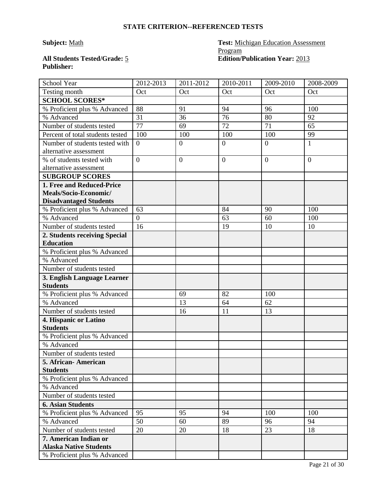# **Subject:** Math **Test:** Michigan Education Assessment Program **All Students Tested/Grade:** 5 **Edition/Publication Year:** 2013

| School Year                      | 2012-2013      | 2011-2012      | 2010-2011      | 2009-2010 | 2008-2009      |
|----------------------------------|----------------|----------------|----------------|-----------|----------------|
| Testing month                    | Oct            | Oct            | Oct            | Oct       | Oct            |
| <b>SCHOOL SCORES*</b>            |                |                |                |           |                |
| % Proficient plus % Advanced     | 88             | 91             | 94             | 96        | 100            |
| % Advanced                       | 31             | 36             | 76             | 80        | 92             |
| Number of students tested        | 77             | 69             | 72             | 71        | 65             |
| Percent of total students tested | 100            | 100            | 100            | 100       | 99             |
| Number of students tested with   | $\overline{0}$ | $\overline{0}$ | $\overline{0}$ | $\theta$  | $\mathbf{1}$   |
| alternative assessment           |                |                |                |           |                |
| % of students tested with        | $\overline{0}$ | $\overline{0}$ | $\overline{0}$ | $\theta$  | $\overline{0}$ |
| alternative assessment           |                |                |                |           |                |
| <b>SUBGROUP SCORES</b>           |                |                |                |           |                |
| 1. Free and Reduced-Price        |                |                |                |           |                |
| Meals/Socio-Economic/            |                |                |                |           |                |
| <b>Disadvantaged Students</b>    |                |                |                |           |                |
| % Proficient plus % Advanced     | 63             |                | 84             | 90        | 100            |
| % Advanced                       | $\Omega$       |                | 63             | 60        | 100            |
| Number of students tested        | 16             |                | 19             | 10        | 10             |
| 2. Students receiving Special    |                |                |                |           |                |
| <b>Education</b>                 |                |                |                |           |                |
| % Proficient plus % Advanced     |                |                |                |           |                |
| % Advanced                       |                |                |                |           |                |
| Number of students tested        |                |                |                |           |                |
| 3. English Language Learner      |                |                |                |           |                |
| <b>Students</b>                  |                |                |                |           |                |
| % Proficient plus % Advanced     |                | 69             | 82             | 100       |                |
| % Advanced                       |                | 13             | 64             | 62        |                |
| Number of students tested        |                | 16             | 11             | 13        |                |
| 4. Hispanic or Latino            |                |                |                |           |                |
| <b>Students</b>                  |                |                |                |           |                |
| % Proficient plus % Advanced     |                |                |                |           |                |
| % Advanced                       |                |                |                |           |                |
| Number of students tested        |                |                |                |           |                |
| 5. African-American              |                |                |                |           |                |
| <b>Students</b>                  |                |                |                |           |                |
| % Proficient plus % Advanced     |                |                |                |           |                |
| % Advanced                       |                |                |                |           |                |
| Number of students tested        |                |                |                |           |                |
| <b>6. Asian Students</b>         |                |                |                |           |                |
| % Proficient plus % Advanced     | 95             | 95             | 94             | 100       | 100            |
| % Advanced                       | 50             | 60             | 89             | 96        | 94             |
| Number of students tested        | 20             | 20             | 18             | 23        | 18             |
| 7. American Indian or            |                |                |                |           |                |
| <b>Alaska Native Students</b>    |                |                |                |           |                |
| % Proficient plus % Advanced     |                |                |                |           |                |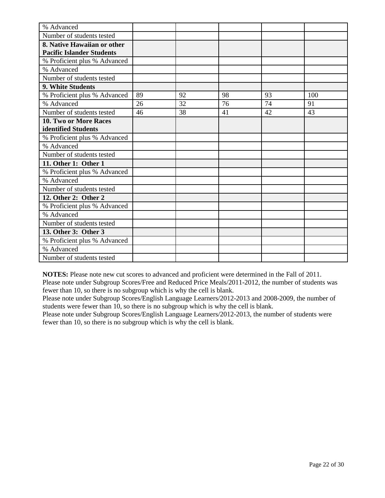| % Advanced                       |    |    |    |    |     |
|----------------------------------|----|----|----|----|-----|
| Number of students tested        |    |    |    |    |     |
| 8. Native Hawaiian or other      |    |    |    |    |     |
| <b>Pacific Islander Students</b> |    |    |    |    |     |
| % Proficient plus % Advanced     |    |    |    |    |     |
| % Advanced                       |    |    |    |    |     |
| Number of students tested        |    |    |    |    |     |
| 9. White Students                |    |    |    |    |     |
| % Proficient plus % Advanced     | 89 | 92 | 98 | 93 | 100 |
| % Advanced                       | 26 | 32 | 76 | 74 | 91  |
| Number of students tested        | 46 | 38 | 41 | 42 | 43  |
| <b>10. Two or More Races</b>     |    |    |    |    |     |
| identified Students              |    |    |    |    |     |
| % Proficient plus % Advanced     |    |    |    |    |     |
| % Advanced                       |    |    |    |    |     |
| Number of students tested        |    |    |    |    |     |
| 11. Other 1: Other 1             |    |    |    |    |     |
| % Proficient plus % Advanced     |    |    |    |    |     |
| % Advanced                       |    |    |    |    |     |
| Number of students tested        |    |    |    |    |     |
| 12. Other 2: Other 2             |    |    |    |    |     |
| % Proficient plus % Advanced     |    |    |    |    |     |
| % Advanced                       |    |    |    |    |     |
| Number of students tested        |    |    |    |    |     |
| 13. Other 3: Other 3             |    |    |    |    |     |
| % Proficient plus % Advanced     |    |    |    |    |     |
| % Advanced                       |    |    |    |    |     |
| Number of students tested        |    |    |    |    |     |

**NOTES:** Please note new cut scores to advanced and proficient were determined in the Fall of 2011.

Please note under Subgroup Scores/Free and Reduced Price Meals/2011-2012, the number of students was fewer than 10, so there is no subgroup which is why the cell is blank.

Please note under Subgroup Scores/English Language Learners/2012-2013 and 2008-2009, the number of students were fewer than 10, so there is no subgroup which is why the cell is blank.

Please note under Subgroup Scores/English Language Learners/2012-2013, the number of students were fewer than 10, so there is no subgroup which is why the cell is blank.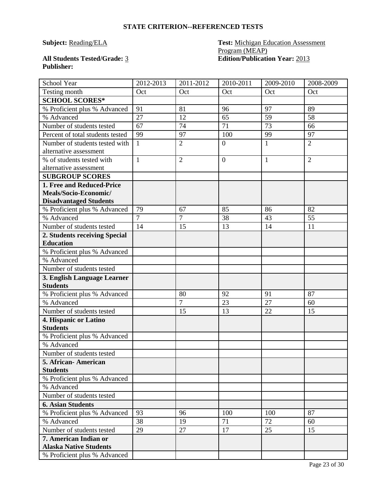# **Subject: Reading/ELA Test: Michigan Education Assessment** Program (MEAP) **All Students Tested/Grade:** 3 **Edition/Publication Year:** 2013

| School Year                                                                         | 2012-2013      | 2011-2012      | 2010-2011        | 2009-2010    | 2008-2009      |
|-------------------------------------------------------------------------------------|----------------|----------------|------------------|--------------|----------------|
| Testing month                                                                       | Oct            | Oct            | Oct              | Oct          | Oct            |
| <b>SCHOOL SCORES*</b>                                                               |                |                |                  |              |                |
| % Proficient plus % Advanced                                                        | 91             | 81             | 96               | 97           | 89             |
| % Advanced                                                                          | 27             | 12             | 65               | 59           | 58             |
| Number of students tested                                                           | 67             | 74             | 71               | 73           | 66             |
| Percent of total students tested                                                    | 99             | 97             | 100              | 99           | 97             |
| Number of students tested with<br>alternative assessment                            | $\mathbf{1}$   | $\overline{2}$ | $\overline{0}$   | $\mathbf{1}$ | $\overline{2}$ |
| % of students tested with<br>alternative assessment                                 | $\mathbf{1}$   | $\overline{2}$ | $\boldsymbol{0}$ | $\mathbf{1}$ | $\overline{2}$ |
| <b>SUBGROUP SCORES</b>                                                              |                |                |                  |              |                |
| 1. Free and Reduced-Price<br>Meals/Socio-Economic/<br><b>Disadvantaged Students</b> |                |                |                  |              |                |
| % Proficient plus % Advanced                                                        | 79             | 67             | 85               | 86           | 82             |
| % Advanced                                                                          | $\overline{7}$ | $\overline{7}$ | 38               | 43           | 55             |
| Number of students tested                                                           | 14             | 15             | 13               | 14           | 11             |
| 2. Students receiving Special<br><b>Education</b>                                   |                |                |                  |              |                |
| % Proficient plus % Advanced                                                        |                |                |                  |              |                |
| % Advanced                                                                          |                |                |                  |              |                |
| Number of students tested                                                           |                |                |                  |              |                |
| 3. English Language Learner<br><b>Students</b>                                      |                |                |                  |              |                |
| % Proficient plus % Advanced                                                        |                | 80             | 92               | 91           | 87             |
| % Advanced                                                                          |                | $\overline{7}$ | 23               | 27           | 60             |
| Number of students tested                                                           |                | 15             | 13               | 22           | 15             |
| 4. Hispanic or Latino<br><b>Students</b>                                            |                |                |                  |              |                |
| % Proficient plus % Advanced                                                        |                |                |                  |              |                |
| % Advanced                                                                          |                |                |                  |              |                |
| Number of students tested                                                           |                |                |                  |              |                |
| 5. African-American                                                                 |                |                |                  |              |                |
| <b>Students</b>                                                                     |                |                |                  |              |                |
| % Proficient plus % Advanced                                                        |                |                |                  |              |                |
| % Advanced                                                                          |                |                |                  |              |                |
| Number of students tested                                                           |                |                |                  |              |                |
| <b>6. Asian Students</b>                                                            |                |                |                  |              |                |
| % Proficient plus % Advanced                                                        | 93             | 96             | 100              | 100          | 87             |
| % Advanced                                                                          | 38             | 19             | 71               | 72           | 60             |
| Number of students tested                                                           | 29             | 27             | 17               | 25           | 15             |
| 7. American Indian or<br><b>Alaska Native Students</b>                              |                |                |                  |              |                |
| % Proficient plus % Advanced                                                        |                |                |                  |              |                |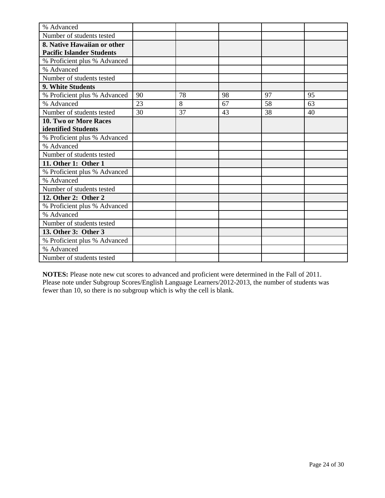| % Advanced                       |    |    |    |    |    |
|----------------------------------|----|----|----|----|----|
| Number of students tested        |    |    |    |    |    |
| 8. Native Hawaiian or other      |    |    |    |    |    |
| <b>Pacific Islander Students</b> |    |    |    |    |    |
| % Proficient plus % Advanced     |    |    |    |    |    |
| % Advanced                       |    |    |    |    |    |
| Number of students tested        |    |    |    |    |    |
| 9. White Students                |    |    |    |    |    |
| % Proficient plus % Advanced     | 90 | 78 | 98 | 97 | 95 |
| % Advanced                       | 23 | 8  | 67 | 58 | 63 |
| Number of students tested        | 30 | 37 | 43 | 38 | 40 |
| 10. Two or More Races            |    |    |    |    |    |
| identified Students              |    |    |    |    |    |
| % Proficient plus % Advanced     |    |    |    |    |    |
| % Advanced                       |    |    |    |    |    |
| Number of students tested        |    |    |    |    |    |
| 11. Other 1: Other 1             |    |    |    |    |    |
| % Proficient plus % Advanced     |    |    |    |    |    |
| % Advanced                       |    |    |    |    |    |
| Number of students tested        |    |    |    |    |    |
| 12. Other 2: Other 2             |    |    |    |    |    |
| % Proficient plus % Advanced     |    |    |    |    |    |
| % Advanced                       |    |    |    |    |    |
| Number of students tested        |    |    |    |    |    |
| 13. Other 3: Other 3             |    |    |    |    |    |
| % Proficient plus % Advanced     |    |    |    |    |    |
| % Advanced                       |    |    |    |    |    |
| Number of students tested        |    |    |    |    |    |

**NOTES:** Please note new cut scores to advanced and proficient were determined in the Fall of 2011. Please note under Subgroup Scores/English Language Learners/2012-2013, the number of students was fewer than 10, so there is no subgroup which is why the cell is blank.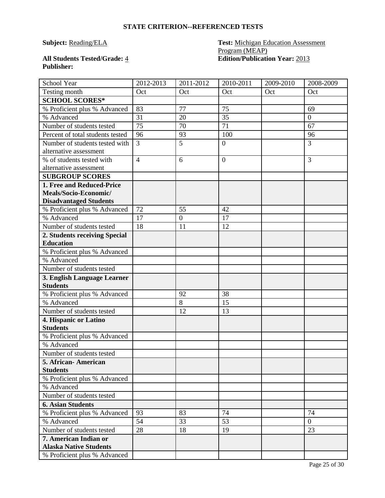# **Subject: Reading/ELA Test: Michigan Education Assessment** Program (MEAP) **All Students Tested/Grade:** 4 **Edition/Publication Year:** 2013

| School Year                                         | 2012-2013      | 2011-2012        | 2010-2011      | 2009-2010 | 2008-2009      |
|-----------------------------------------------------|----------------|------------------|----------------|-----------|----------------|
| Testing month                                       | Oct            | Oct              | Oct            | Oct       | Oct            |
| <b>SCHOOL SCORES*</b>                               |                |                  |                |           |                |
| % Proficient plus % Advanced                        | 83             | 77               | 75             |           | 69             |
| % Advanced                                          | 31             | 20               | 35             |           | $\overline{0}$ |
| Number of students tested                           | 75             | 70               | 71             |           | 67             |
| Percent of total students tested                    | 96             | 93               | 100            |           | 96             |
| Number of students tested with                      | 3              | 5                | $\mathbf{0}$   |           | $\overline{3}$ |
| alternative assessment                              |                |                  |                |           |                |
| % of students tested with<br>alternative assessment | $\overline{4}$ | 6                | $\overline{0}$ |           | 3              |
| <b>SUBGROUP SCORES</b>                              |                |                  |                |           |                |
| 1. Free and Reduced-Price                           |                |                  |                |           |                |
| Meals/Socio-Economic/                               |                |                  |                |           |                |
| <b>Disadvantaged Students</b>                       |                |                  |                |           |                |
| % Proficient plus % Advanced                        | 72             | 55               | 42             |           |                |
| % Advanced                                          | 17             | $\boldsymbol{0}$ | 17             |           |                |
| Number of students tested                           | 18             | 11               | 12             |           |                |
| 2. Students receiving Special                       |                |                  |                |           |                |
| <b>Education</b>                                    |                |                  |                |           |                |
| % Proficient plus % Advanced                        |                |                  |                |           |                |
| % Advanced                                          |                |                  |                |           |                |
| Number of students tested                           |                |                  |                |           |                |
| 3. English Language Learner                         |                |                  |                |           |                |
| <b>Students</b>                                     |                |                  |                |           |                |
| % Proficient plus % Advanced                        |                | 92               | 38             |           |                |
| % Advanced                                          |                | 8                | 15             |           |                |
| Number of students tested                           |                | 12               | 13             |           |                |
| 4. Hispanic or Latino                               |                |                  |                |           |                |
| <b>Students</b>                                     |                |                  |                |           |                |
| % Proficient plus % Advanced                        |                |                  |                |           |                |
| % Advanced                                          |                |                  |                |           |                |
| Number of students tested                           |                |                  |                |           |                |
| 5. African - American                               |                |                  |                |           |                |
| <b>Students</b>                                     |                |                  |                |           |                |
| % Proficient plus % Advanced                        |                |                  |                |           |                |
| % Advanced<br>Number of students tested             |                |                  |                |           |                |
|                                                     |                |                  |                |           |                |
| <b>6. Asian Students</b>                            | 93             | 83               | 74             |           | 74             |
| % Proficient plus % Advanced<br>% Advanced          | 54             | 33               | 53             |           | $\overline{0}$ |
| Number of students tested                           | 28             | 18               | 19             |           | 23             |
| 7. American Indian or                               |                |                  |                |           |                |
| <b>Alaska Native Students</b>                       |                |                  |                |           |                |
| % Proficient plus % Advanced                        |                |                  |                |           |                |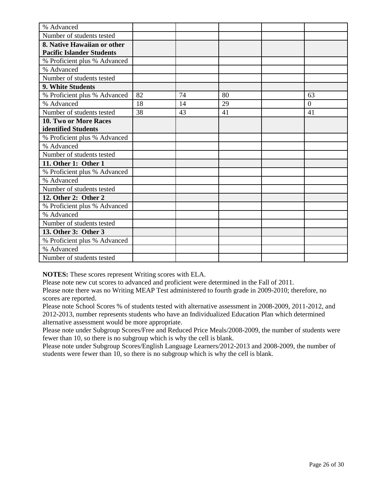| % Advanced                       |    |    |    |                |
|----------------------------------|----|----|----|----------------|
| Number of students tested        |    |    |    |                |
| 8. Native Hawaiian or other      |    |    |    |                |
| <b>Pacific Islander Students</b> |    |    |    |                |
| % Proficient plus % Advanced     |    |    |    |                |
| % Advanced                       |    |    |    |                |
| Number of students tested        |    |    |    |                |
| 9. White Students                |    |    |    |                |
| % Proficient plus % Advanced     | 82 | 74 | 80 | 63             |
| % Advanced                       | 18 | 14 | 29 | $\overline{0}$ |
| Number of students tested        | 38 | 43 | 41 | 41             |
| 10. Two or More Races            |    |    |    |                |
| identified Students              |    |    |    |                |
| % Proficient plus % Advanced     |    |    |    |                |
| % Advanced                       |    |    |    |                |
| Number of students tested        |    |    |    |                |
| 11. Other 1: Other 1             |    |    |    |                |
| % Proficient plus % Advanced     |    |    |    |                |
| % Advanced                       |    |    |    |                |
| Number of students tested        |    |    |    |                |
| 12. Other 2: Other 2             |    |    |    |                |
| % Proficient plus % Advanced     |    |    |    |                |
| % Advanced                       |    |    |    |                |
| Number of students tested        |    |    |    |                |
| 13. Other 3: Other 3             |    |    |    |                |
| % Proficient plus % Advanced     |    |    |    |                |
| % Advanced                       |    |    |    |                |
| Number of students tested        |    |    |    |                |

**NOTES:** These scores represent Writing scores with ELA.

Please note new cut scores to advanced and proficient were determined in the Fall of 2011.

Please note there was no Writing MEAP Test administered to fourth grade in 2009-2010; therefore, no scores are reported.

Please note School Scores % of students tested with alternative assessment in 2008-2009, 2011-2012, and 2012-2013, number represents students who have an Individualized Education Plan which determined alternative assessment would be more appropriate.

Please note under Subgroup Scores/Free and Reduced Price Meals/2008-2009, the number of students were fewer than 10, so there is no subgroup which is why the cell is blank.

Please note under Subgroup Scores/English Language Learners/2012-2013 and 2008-2009, the number of students were fewer than 10, so there is no subgroup which is why the cell is blank.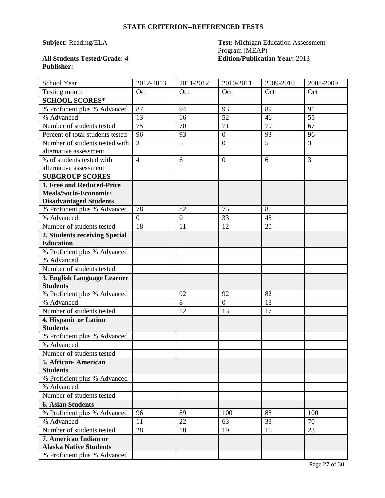# **Subject: Reading/ELA Test: Michigan Education Assessment** Program (MEAP) **All Students Tested/Grade:** 4 **Edition/Publication Year:** 2013

| School Year                                              | 2012-2013      | 2011-2012      | 2010-2011        | 2009-2010 | 2008-2009      |
|----------------------------------------------------------|----------------|----------------|------------------|-----------|----------------|
| Testing month                                            | Oct            | Oct            | Oct              | Oct       | Oct            |
| <b>SCHOOL SCORES*</b>                                    |                |                |                  |           |                |
| % Proficient plus % Advanced                             | 87             | 94             | 93               | 89        | 91             |
| % Advanced                                               | 13             | 16             | 52               | 46        | 55             |
| Number of students tested                                | 75             | 70             | 71               | 70        | 67             |
| Percent of total students tested                         | 96             | 93             | $\boldsymbol{0}$ | 93        | 96             |
| Number of students tested with<br>alternative assessment | 3              | 5              | $\overline{0}$   | 5         | $\overline{3}$ |
| % of students tested with                                | $\overline{4}$ | 6              | $\overline{0}$   | 6         | $\overline{3}$ |
| alternative assessment                                   |                |                |                  |           |                |
| <b>SUBGROUP SCORES</b>                                   |                |                |                  |           |                |
| 1. Free and Reduced-Price                                |                |                |                  |           |                |
| Meals/Socio-Economic/                                    |                |                |                  |           |                |
| <b>Disadvantaged Students</b>                            |                |                |                  |           |                |
| % Proficient plus % Advanced                             | 78             | 82             | 75               | 85        |                |
| % Advanced                                               | $\overline{0}$ | $\overline{0}$ | 33               | 45        |                |
| Number of students tested                                | 18             | 11             | 12               | 20        |                |
| 2. Students receiving Special                            |                |                |                  |           |                |
| <b>Education</b>                                         |                |                |                  |           |                |
| % Proficient plus % Advanced                             |                |                |                  |           |                |
| % Advanced                                               |                |                |                  |           |                |
| Number of students tested                                |                |                |                  |           |                |
| 3. English Language Learner                              |                |                |                  |           |                |
| <b>Students</b>                                          |                |                |                  |           |                |
| % Proficient plus % Advanced                             |                | 92             | 92               | 82        |                |
| % Advanced                                               |                | 8              | $\overline{0}$   | 18        |                |
| Number of students tested                                |                | 12             | 13               | 17        |                |
| 4. Hispanic or Latino                                    |                |                |                  |           |                |
| <b>Students</b>                                          |                |                |                  |           |                |
| % Proficient plus % Advanced                             |                |                |                  |           |                |
| % Advanced                                               |                |                |                  |           |                |
| Number of students tested                                |                |                |                  |           |                |
| 5. African-American                                      |                |                |                  |           |                |
| <b>Students</b>                                          |                |                |                  |           |                |
| % Proficient plus % Advanced<br>% Advanced               |                |                |                  |           |                |
| Number of students tested                                |                |                |                  |           |                |
|                                                          |                |                |                  |           |                |
| <b>6. Asian Students</b><br>% Proficient plus % Advanced | 96             | 89             | 100              | 88        | 100            |
|                                                          |                |                |                  |           |                |
| % Advanced                                               | 11             | 22             | 63               | 38        | 70             |
| Number of students tested                                | 28             | 18             | 19               | 16        | 23             |
| 7. American Indian or<br><b>Alaska Native Students</b>   |                |                |                  |           |                |
| % Proficient plus % Advanced                             |                |                |                  |           |                |
|                                                          |                |                |                  |           |                |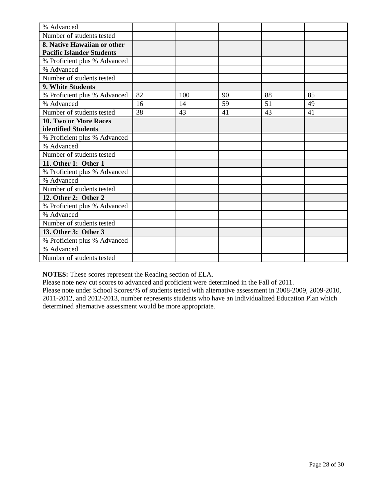| % Advanced                       |    |     |    |    |    |
|----------------------------------|----|-----|----|----|----|
| Number of students tested        |    |     |    |    |    |
| 8. Native Hawaiian or other      |    |     |    |    |    |
| <b>Pacific Islander Students</b> |    |     |    |    |    |
| % Proficient plus % Advanced     |    |     |    |    |    |
| % Advanced                       |    |     |    |    |    |
| Number of students tested        |    |     |    |    |    |
| 9. White Students                |    |     |    |    |    |
| % Proficient plus % Advanced     | 82 | 100 | 90 | 88 | 85 |
| % Advanced                       | 16 | 14  | 59 | 51 | 49 |
| Number of students tested        | 38 | 43  | 41 | 43 | 41 |
| 10. Two or More Races            |    |     |    |    |    |
| identified Students              |    |     |    |    |    |
| % Proficient plus % Advanced     |    |     |    |    |    |
| % Advanced                       |    |     |    |    |    |
| Number of students tested        |    |     |    |    |    |
| 11. Other 1: Other 1             |    |     |    |    |    |
| % Proficient plus % Advanced     |    |     |    |    |    |
| % Advanced                       |    |     |    |    |    |
| Number of students tested        |    |     |    |    |    |
| 12. Other 2: Other 2             |    |     |    |    |    |
| % Proficient plus % Advanced     |    |     |    |    |    |
| % Advanced                       |    |     |    |    |    |
| Number of students tested        |    |     |    |    |    |
| 13. Other 3: Other 3             |    |     |    |    |    |
| % Proficient plus % Advanced     |    |     |    |    |    |
| % Advanced                       |    |     |    |    |    |
| Number of students tested        |    |     |    |    |    |

**NOTES:** These scores represent the Reading section of ELA.

Please note new cut scores to advanced and proficient were determined in the Fall of 2011.

Please note under School Scores/% of students tested with alternative assessment in 2008-2009, 2009-2010, 2011-2012, and 2012-2013, number represents students who have an Individualized Education Plan which determined alternative assessment would be more appropriate.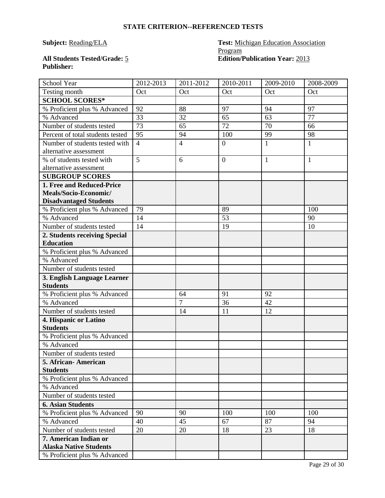# **Subject: Reading/ELA Test: Michigan Education Association** Program **All Students Tested/Grade:** 5 **Edition/Publication Year:** 2013

| School Year                                                                         | 2012-2013      | 2011-2012      | 2010-2011        | 2009-2010    | 2008-2009    |
|-------------------------------------------------------------------------------------|----------------|----------------|------------------|--------------|--------------|
| Testing month                                                                       | Oct            | Oct            | Oct              | Oct          | Oct          |
| <b>SCHOOL SCORES*</b>                                                               |                |                |                  |              |              |
| % Proficient plus % Advanced                                                        | 92             | 88             | 97               | 94           | 97           |
| % Advanced                                                                          | 33             | 32             | 65               | 63           | 77           |
| Number of students tested                                                           | 73             | 65             | 72               | 70           | 66           |
| Percent of total students tested                                                    | 95             | 94             | 100              | 99           | 98           |
| Number of students tested with<br>alternative assessment                            | $\overline{4}$ | $\overline{4}$ | $\boldsymbol{0}$ | $\mathbf{1}$ | $\mathbf{1}$ |
| % of students tested with                                                           | 5              | 6              | $\overline{0}$   | $\mathbf{1}$ | $\mathbf{1}$ |
| alternative assessment                                                              |                |                |                  |              |              |
| <b>SUBGROUP SCORES</b>                                                              |                |                |                  |              |              |
| 1. Free and Reduced-Price<br>Meals/Socio-Economic/<br><b>Disadvantaged Students</b> |                |                |                  |              |              |
| % Proficient plus % Advanced                                                        | 79             |                | 89               |              | 100          |
| % Advanced                                                                          | 14             |                | 53               |              | 90           |
| Number of students tested                                                           | 14             |                | 19               |              | 10           |
| 2. Students receiving Special                                                       |                |                |                  |              |              |
| <b>Education</b>                                                                    |                |                |                  |              |              |
| % Proficient plus % Advanced<br>% Advanced                                          |                |                |                  |              |              |
|                                                                                     |                |                |                  |              |              |
| Number of students tested                                                           |                |                |                  |              |              |
| 3. English Language Learner<br><b>Students</b>                                      |                |                |                  |              |              |
| % Proficient plus % Advanced                                                        |                | 64             | 91               | 92           |              |
| % Advanced                                                                          |                | $\overline{7}$ | 36               | 42           |              |
| Number of students tested                                                           |                | 14             | 11               | 12           |              |
| 4. Hispanic or Latino<br><b>Students</b>                                            |                |                |                  |              |              |
| % Proficient plus % Advanced                                                        |                |                |                  |              |              |
| % Advanced                                                                          |                |                |                  |              |              |
| Number of students tested                                                           |                |                |                  |              |              |
| 5. African-American                                                                 |                |                |                  |              |              |
| <b>Students</b>                                                                     |                |                |                  |              |              |
| % Proficient plus % Advanced                                                        |                |                |                  |              |              |
| % Advanced                                                                          |                |                |                  |              |              |
| Number of students tested                                                           |                |                |                  |              |              |
| <b>6. Asian Students</b>                                                            |                |                |                  |              |              |
| % Proficient plus % Advanced                                                        | 90             | 90             | 100              | 100          | 100          |
| % Advanced                                                                          | 40             | 45             | 67               | 87           | 94           |
| Number of students tested                                                           | 20             | 20             | 18               | 23           | 18           |
| 7. American Indian or<br><b>Alaska Native Students</b>                              |                |                |                  |              |              |
| % Proficient plus % Advanced                                                        |                |                |                  |              |              |